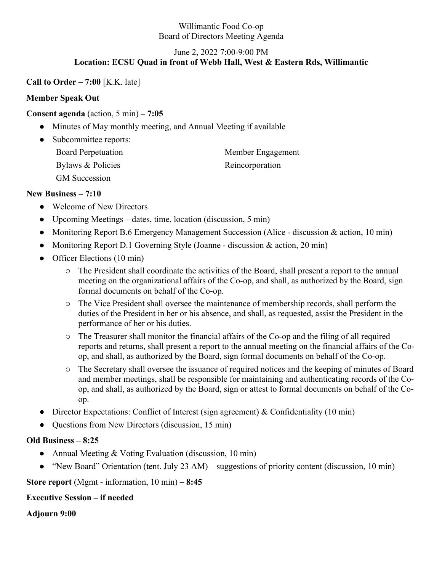#### Willimantic Food Co-op Board of Directors Meeting Agenda

#### June 2, 2022 7:00-9:00 PM **Location: ECSU Quad in front of Webb Hall, West & Eastern Rds, Willimantic**

**Call to Order – 7:00** [K.K. late]

# **Member Speak Out**

# **Consent agenda** (action, 5 min) **– 7:05**

- Minutes of May monthly meeting, and Annual Meeting if available
- Subcommittee reports: Board Perpetuation Member Engagement Bylaws & Policies Reincorporation GM Succession

### **New Business – 7:10**

- Welcome of New Directors
- Upcoming Meetings dates, time, location (discussion, 5 min)
- Monitoring Report B.6 Emergency Management Succession (Alice discussion & action, 10 min)
- Monitoring Report D.1 Governing Style (Joanne discussion & action, 20 min)
- Officer Elections (10 min)
	- o The President shall coordinate the activities of the Board, shall present a report to the annual meeting on the organizational affairs of the Co-op, and shall, as authorized by the Board, sign formal documents on behalf of the Co-op.
	- o The Vice President shall oversee the maintenance of membership records, shall perform the duties of the President in her or his absence, and shall, as requested, assist the President in the performance of her or his duties.
	- o The Treasurer shall monitor the financial affairs of the Co-op and the filing of all required reports and returns, shall present a report to the annual meeting on the financial affairs of the Coop, and shall, as authorized by the Board, sign formal documents on behalf of the Co-op.
	- o The Secretary shall oversee the issuance of required notices and the keeping of minutes of Board and member meetings, shall be responsible for maintaining and authenticating records of the Coop, and shall, as authorized by the Board, sign or attest to formal documents on behalf of the Coop.
- Director Expectations: Conflict of Interest (sign agreement) & Confidentiality (10 min)
- Questions from New Directors (discussion, 15 min)

### **Old Business – 8:25**

- Annual Meeting & Voting Evaluation (discussion, 10 min)
- "New Board" Orientation (tent. July 23 AM) suggestions of priority content (discussion, 10 min)

**Store report** (Mgmt - information, 10 min) **– 8:45**

### **Executive Session – if needed**

**Adjourn 9:00**